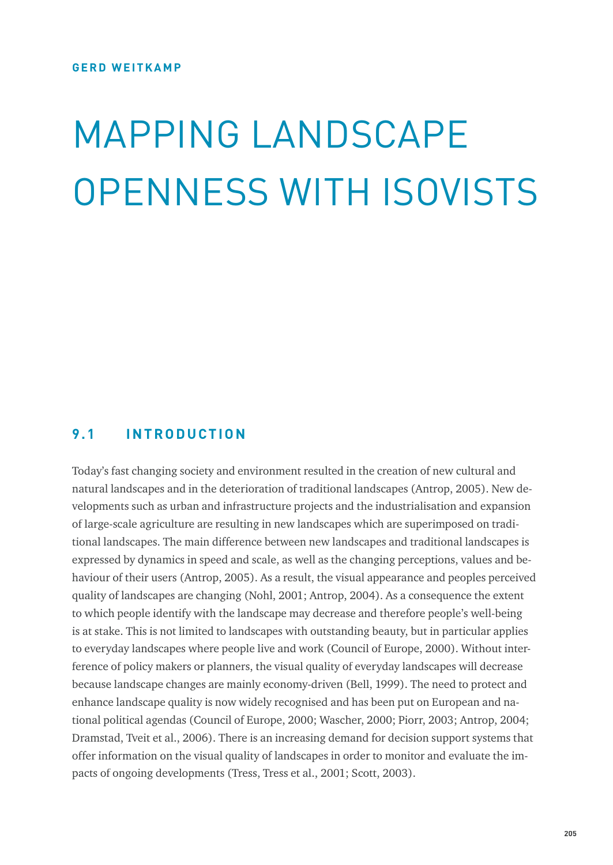# MAPPING LANDSCAPF OPENNESS WITH ISOVISTS

## **9.1 INTRODUCTION**

Today's fast changing society and environment resulted in the creation of new cultural and natural landscapes and in the deterioration of traditional landscapes (Antrop, 2005). New developments such as urban and infrastructure projects and the industrialisation and expansion of large-scale agriculture are resulting in new landscapes which are superimposed on traditional landscapes. The main difference between new landscapes and traditional landscapes is expressed by dynamics in speed and scale, as well as the changing perceptions, values and behaviour of their users (Antrop, 2005). As a result, the visual appearance and peoples perceived quality of landscapes are changing (Nohl, 2001; Antrop, 2004). As a consequence the extent to which people identify with the landscape may decrease and therefore people's well-being is at stake. This is not limited to landscapes with outstanding beauty, but in particular applies to everyday landscapes where people live and work (Council of Europe, 2000). Without interference of policy makers or planners, the visual quality of everyday landscapes will decrease because landscape changes are mainly economy-driven (Bell, 1999). The need to protect and enhance landscape quality is now widely recognised and has been put on European and national political agendas (Council of Europe, 2000; Wascher, 2000; Piorr, 2003; Antrop, 2004; Dramstad, Tveit et al., 2006). There is an increasing demand for decision support systems that offer information on the visual quality of landscapes in order to monitor and evaluate the impacts of ongoing developments (Tress, Tress et al., 2001; Scott, 2003).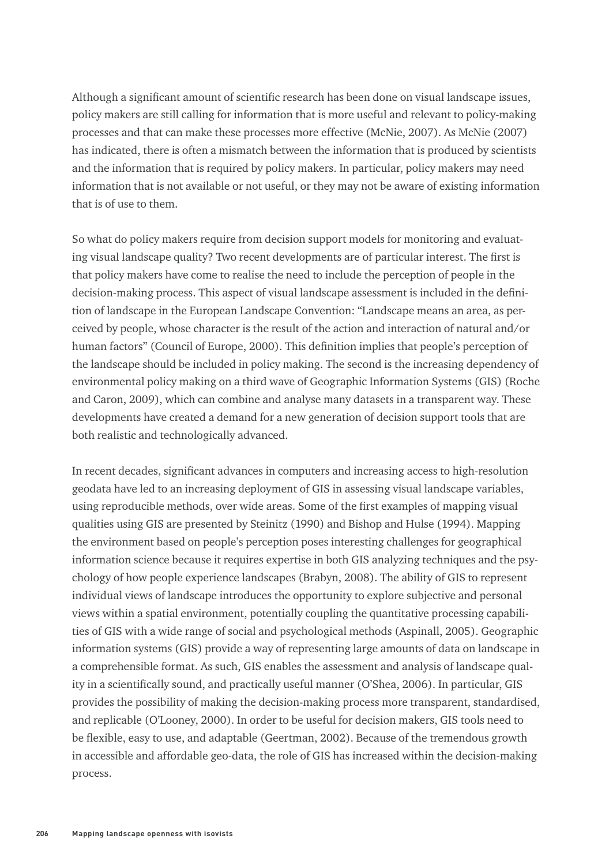Although a significant amount of scientific research has been done on visual landscape issues, policy makers are still calling for information that is more useful and relevant to policy-making processes and that can make these processes more effective (McNie, 2007). As McNie (2007) has indicated, there is often a mismatch between the information that is produced by scientists and the information that is required by policy makers. In particular, policy makers may need information that is not available or not useful, or they may not be aware of existing information that is of use to them.

So what do policy makers require from decision support models for monitoring and evaluating visual landscape quality? Two recent developments are of particular interest. The first is that policy makers have come to realise the need to include the perception of people in the decision-making process. This aspect of visual landscape assessment is included in the definition of landscape in the European Landscape Convention: "Landscape means an area, as perceived by people, whose character is the result of the action and interaction of natural and/or human factors" (Council of Europe, 2000). This definition implies that people's perception of the landscape should be included in policy making. The second is the increasing dependency of environmental policy making on a third wave of Geographic Information Systems (GIS) (Roche and Caron, 2009), which can combine and analyse many datasets in a transparent way. These developments have created a demand for a new generation of decision support tools that are both realistic and technologically advanced.

In recent decades, significant advances in computers and increasing access to high-resolution geodata have led to an increasing deployment of GIS in assessing visual landscape variables, using reproducible methods, over wide areas. Some of the first examples of mapping visual qualities using GIS are presented by Steinitz (1990) and Bishop and Hulse (1994). Mapping the environment based on people's perception poses interesting challenges for geographical information science because it requires expertise in both GIS analyzing techniques and the psychology of how people experience landscapes (Brabyn, 2008). The ability of GIS to represent individual views of landscape introduces the opportunity to explore subjective and personal views within a spatial environment, potentially coupling the quantitative processing capabilities of GIS with a wide range of social and psychological methods (Aspinall, 2005). Geographic information systems (GIS) provide a way of representing large amounts of data on landscape in a comprehensible format. As such, GIS enables the assessment and analysis of landscape quality in a scientifically sound, and practically useful manner (O'Shea, 2006). In particular, GIS provides the possibility of making the decision-making process more transparent, standardised, and replicable (O'Looney, 2000). In order to be useful for decision makers, GIS tools need to be flexible, easy to use, and adaptable (Geertman, 2002). Because of the tremendous growth in accessible and affordable geo-data, the role of GIS has increased within the decision-making process.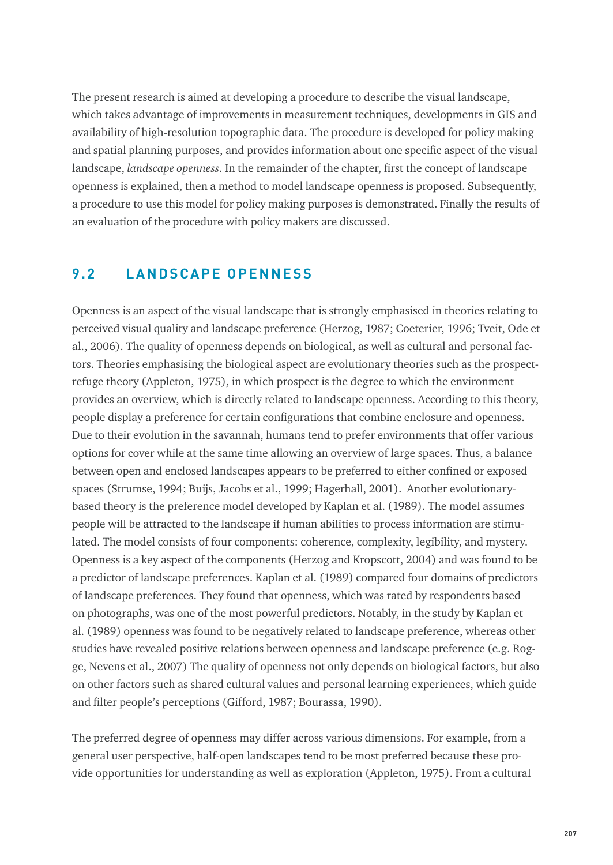The present research is aimed at developing a procedure to describe the visual landscape, which takes advantage of improvements in measurement techniques, developments in GIS and availability of high-resolution topographic data. The procedure is developed for policy making and spatial planning purposes, and provides information about one specific aspect of the visual landscape, *landscape openness*. In the remainder of the chapter, first the concept of landscape openness is explained, then a method to model landscape openness is proposed. Subsequently, a procedure to use this model for policy making purposes is demonstrated. Finally the results of an evaluation of the procedure with policy makers are discussed.

# **9.2 LANDSCAPE OPENNESS**

Openness is an aspect of the visual landscape that is strongly emphasised in theories relating to perceived visual quality and landscape preference (Herzog, 1987; Coeterier, 1996; Tveit, Ode et al., 2006). The quality of openness depends on biological, as well as cultural and personal factors. Theories emphasising the biological aspect are evolutionary theories such as the prospectrefuge theory (Appleton, 1975), in which prospect is the degree to which the environment provides an overview, which is directly related to landscape openness. According to this theory, people display a preference for certain configurations that combine enclosure and openness. Due to their evolution in the savannah, humans tend to prefer environments that offer various options for cover while at the same time allowing an overview of large spaces. Thus, a balance between open and enclosed landscapes appears to be preferred to either confined or exposed spaces (Strumse, 1994; Buijs, Jacobs et al., 1999; Hagerhall, 2001). Another evolutionarybased theory is the preference model developed by Kaplan et al. (1989). The model assumes people will be attracted to the landscape if human abilities to process information are stimulated. The model consists of four components: coherence, complexity, legibility, and mystery. Openness is a key aspect of the components (Herzog and Kropscott, 2004) and was found to be a predictor of landscape preferences. Kaplan et al. (1989) compared four domains of predictors of landscape preferences. They found that openness, which was rated by respondents based on photographs, was one of the most powerful predictors. Notably, in the study by Kaplan et al. (1989) openness was found to be negatively related to landscape preference, whereas other studies have revealed positive relations between openness and landscape preference (e.g. Rogge, Nevens et al., 2007) The quality of openness not only depends on biological factors, but also on other factors such as shared cultural values and personal learning experiences, which guide and filter people's perceptions (Gifford, 1987; Bourassa, 1990).

The preferred degree of openness may differ across various dimensions. For example, from a general user perspective, half-open landscapes tend to be most preferred because these provide opportunities for understanding as well as exploration (Appleton, 1975). From a cultural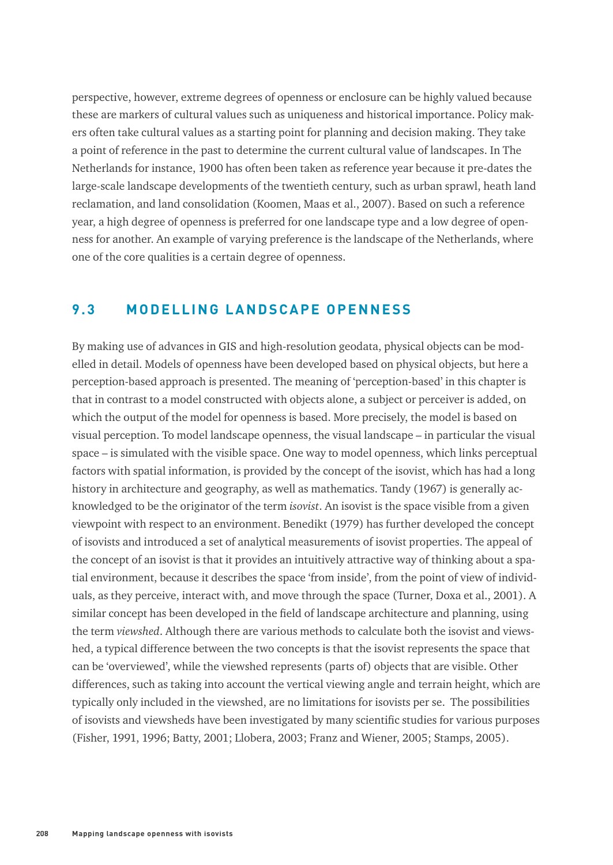perspective, however, extreme degrees of openness or enclosure can be highly valued because these are markers of cultural values such as uniqueness and historical importance. Policy makers often take cultural values as a starting point for planning and decision making. They take a point of reference in the past to determine the current cultural value of landscapes. In The Netherlands for instance, 1900 has often been taken as reference year because it pre-dates the large-scale landscape developments of the twentieth century, such as urban sprawl, heath land reclamation, and land consolidation (Koomen, Maas et al., 2007). Based on such a reference year, a high degree of openness is preferred for one landscape type and a low degree of openness for another. An example of varying preference is the landscape of the Netherlands, where one of the core qualities is a certain degree of openness.

# **9.3 MODELLING LANDSCAPE OPENNESS**

By making use of advances in GIS and high-resolution geodata, physical objects can be modelled in detail. Models of openness have been developed based on physical objects, but here a perception-based approach is presented. The meaning of 'perception-based' in this chapter is that in contrast to a model constructed with objects alone, a subject or perceiver is added, on which the output of the model for openness is based. More precisely, the model is based on visual perception. To model landscape openness, the visual landscape – in particular the visual space – is simulated with the visible space. One way to model openness, which links perceptual factors with spatial information, is provided by the concept of the isovist, which has had a long history in architecture and geography, as well as mathematics. Tandy (1967) is generally acknowledged to be the originator of the term *isovist*. An isovist is the space visible from a given viewpoint with respect to an environment. Benedikt (1979) has further developed the concept of isovists and introduced a set of analytical measurements of isovist properties. The appeal of the concept of an isovist is that it provides an intuitively attractive way of thinking about a spatial environment, because it describes the space 'from inside', from the point of view of individuals, as they perceive, interact with, and move through the space (Turner, Doxa et al., 2001). A similar concept has been developed in the field of landscape architecture and planning, using the term *viewshed*. Although there are various methods to calculate both the isovist and viewshed, a typical difference between the two concepts is that the isovist represents the space that can be 'overviewed', while the viewshed represents (parts of) objects that are visible. Other differences, such as taking into account the vertical viewing angle and terrain height, which are typically only included in the viewshed, are no limitations for isovists per se. The possibilities of isovists and viewsheds have been investigated by many scientific studies for various purposes (Fisher, 1991, 1996; Batty, 2001; Llobera, 2003; Franz and Wiener, 2005; Stamps, 2005).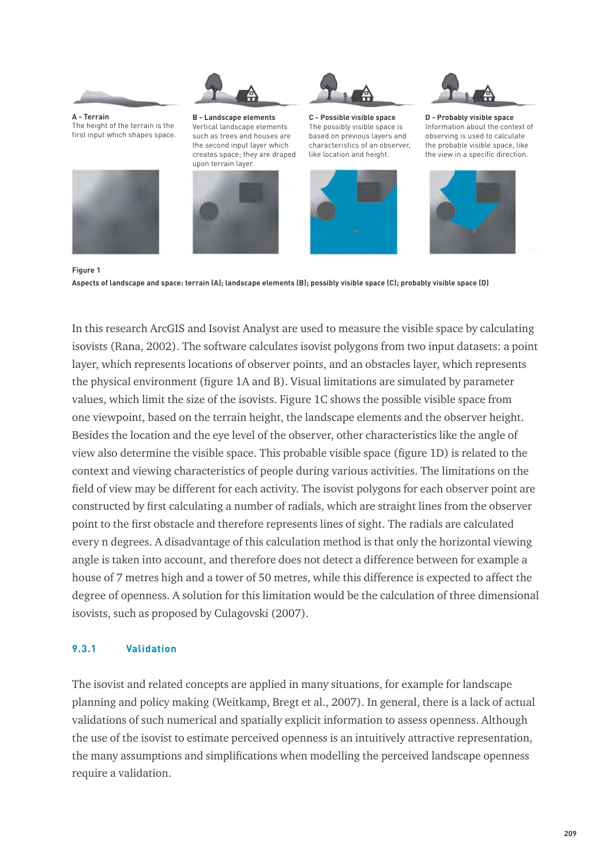

**A - Terrain** The height of the terrain is the first input which shapes space.





**B - Landscape elements** Vertical landscape elements such as trees and houses are the second input layer which creates space; they are draped upon terrain layer.





**C - Possible visible space** The possibly visible space is based on previous layers and characteristics of an observer, like location and height.





**D - Probably visible space** Information about the context of observing is used to calculate the probable visible space, like the view in a specific direction.



**Figure 1**

**Aspects of landscape and space: terrain (A); landscape elements (B); possibly visible space (C); probably visible space (D)**

In this research ArcGIS and Isovist Analyst are used to measure the visible space by calculating isovists (Rana, 2002). The software calculates isovist polygons from two input datasets: a point layer, which represents locations of observer points, and an obstacles layer, which represents the physical environment (figure 1A and B). Visual limitations are simulated by parameter values, which limit the size of the isovists. Figure 1C shows the possible visible space from one viewpoint, based on the terrain height, the landscape elements and the observer height. Besides the location and the eye level of the observer, other characteristics like the angle of view also determine the visible space. This probable visible space (figure 1D) is related to the context and viewing characteristics of people during various activities. The limitations on the field of view may be different for each activity. The isovist polygons for each observer point are constructed by first calculating a number of radials, which are straight lines from the observer point to the first obstacle and therefore represents lines of sight. The radials are calculated every n degrees. A disadvantage of this calculation method is that only the horizontal viewing angle is taken into account, and therefore does not detect a difference between for example a house of 7 metres high and a tower of 50 metres, while this difference is expected to affect the degree of openness. A solution for this limitation would be the calculation of three dimensional isovists, such as proposed by Culagovski (2007).

#### **9.3.1 Validation**

The isovist and related concepts are applied in many situations, for example for landscape planning and policy making (Weitkamp, Bregt et al., 2007). In general, there is a lack of actual validations of such numerical and spatially explicit information to assess openness. Although the use of the isovist to estimate perceived openness is an intuitively attractive representation, the many assumptions and simplifications when modelling the perceived landscape openness require a validation.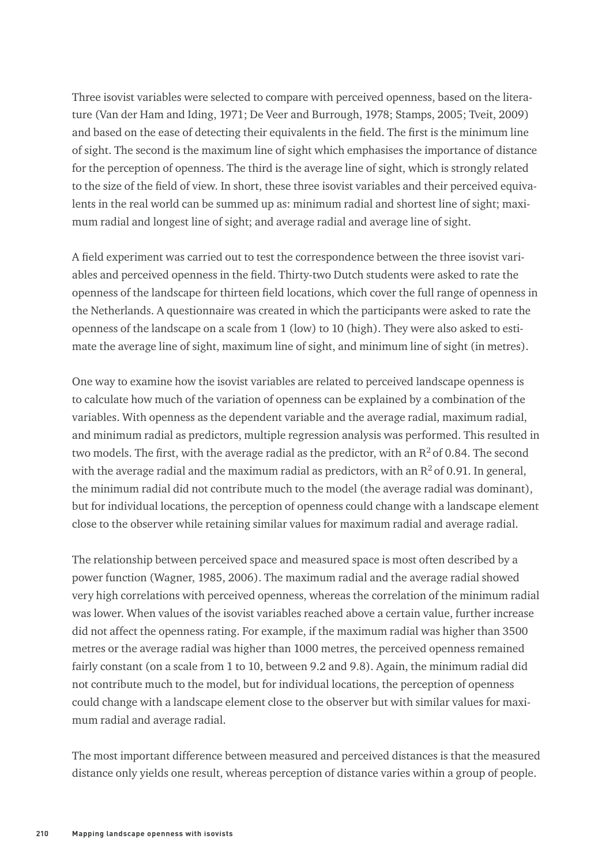Three isovist variables were selected to compare with perceived openness, based on the literature (Van der Ham and Iding, 1971; De Veer and Burrough, 1978; Stamps, 2005; Tveit, 2009) and based on the ease of detecting their equivalents in the field. The first is the minimum line of sight. The second is the maximum line of sight which emphasises the importance of distance for the perception of openness. The third is the average line of sight, which is strongly related to the size of the field of view. In short, these three isovist variables and their perceived equivalents in the real world can be summed up as: minimum radial and shortest line of sight; maximum radial and longest line of sight; and average radial and average line of sight.

A field experiment was carried out to test the correspondence between the three isovist variables and perceived openness in the field. Thirty-two Dutch students were asked to rate the openness of the landscape for thirteen field locations, which cover the full range of openness in the Netherlands. A questionnaire was created in which the participants were asked to rate the openness of the landscape on a scale from 1 (low) to 10 (high). They were also asked to estimate the average line of sight, maximum line of sight, and minimum line of sight (in metres).

One way to examine how the isovist variables are related to perceived landscape openness is to calculate how much of the variation of openness can be explained by a combination of the variables. With openness as the dependent variable and the average radial, maximum radial, and minimum radial as predictors, multiple regression analysis was performed. This resulted in two models. The first, with the average radial as the predictor, with an  $R<sup>2</sup>$  of 0.84. The second with the average radial and the maximum radial as predictors, with an  $R^2$  of 0.91. In general, the minimum radial did not contribute much to the model (the average radial was dominant), but for individual locations, the perception of openness could change with a landscape element close to the observer while retaining similar values for maximum radial and average radial.

The relationship between perceived space and measured space is most often described by a power function (Wagner, 1985, 2006). The maximum radial and the average radial showed very high correlations with perceived openness, whereas the correlation of the minimum radial was lower. When values of the isovist variables reached above a certain value, further increase did not affect the openness rating. For example, if the maximum radial was higher than 3500 metres or the average radial was higher than 1000 metres, the perceived openness remained fairly constant (on a scale from 1 to 10, between 9.2 and 9.8). Again, the minimum radial did not contribute much to the model, but for individual locations, the perception of openness could change with a landscape element close to the observer but with similar values for maximum radial and average radial.

The most important difference between measured and perceived distances is that the measured distance only yields one result, whereas perception of distance varies within a group of people.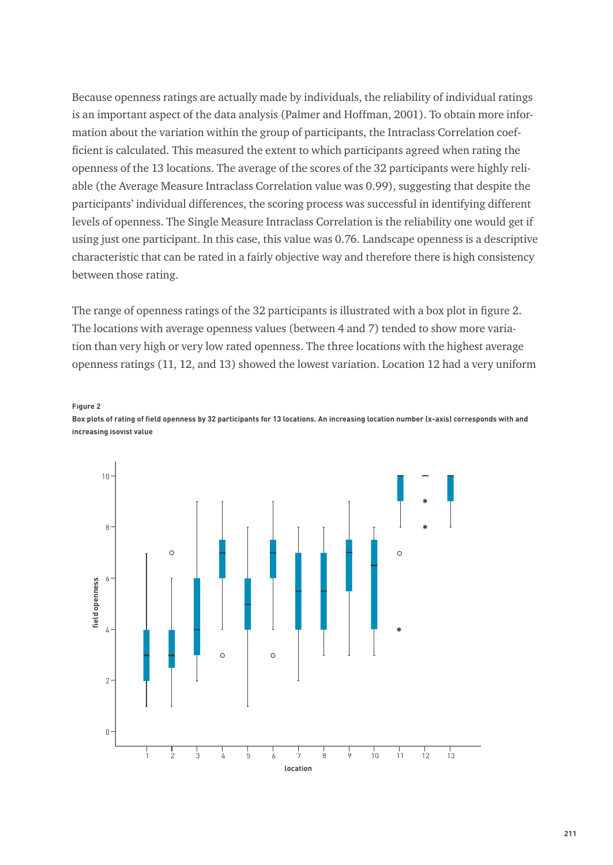Because openness ratings are actually made by individuals, the reliability of individual ratings is an important aspect of the data analysis (Palmer and Hoffman, 2001). To obtain more information about the variation within the group of participants, the Intraclass Correlation coefficient is calculated. This measured the extent to which participants agreed when rating the openness of the 13 locations. The average of the scores of the 32 participants were highly reliable (the Average Measure Intraclass Correlation value was 0.99), suggesting that despite the participants' individual differences, the scoring process was successful in identifying different levels of openness. The Single Measure Intraclass Correlation is the reliability one would get if using just one participant. In this case, this value was 0.76. Landscape openness is a descriptive characteristic that can be rated in a fairly objective way and therefore there is high consistency between those rating.

The range of openness ratings of the 32 participants is illustrated with a box plot in figure 2. The locations with average openness values (between 4 and 7) tended to show more variation than very high or very low rated openness. The three locations with the highest average openness ratings (11, 12, and 13) showed the lowest variation. Location 12 had a very uniform

#### **Figure 2**

Box plots of rating of field openness by 32 participants for 13 locations. An increasing location number (x-axis) corresponds with and **increasing isovist value**

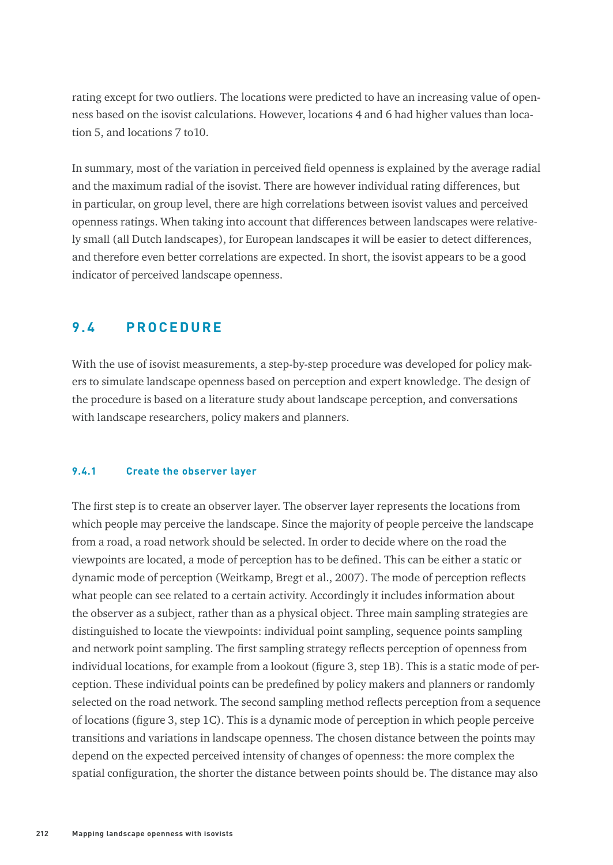rating except for two outliers. The locations were predicted to have an increasing value of openness based on the isovist calculations. However, locations 4 and 6 had higher values than location 5, and locations 7 to10.

In summary, most of the variation in perceived field openness is explained by the average radial and the maximum radial of the isovist. There are however individual rating differences, but in particular, on group level, there are high correlations between isovist values and perceived openness ratings. When taking into account that differences between landscapes were relatively small (all Dutch landscapes), for European landscapes it will be easier to detect differences, and therefore even better correlations are expected. In short, the isovist appears to be a good indicator of perceived landscape openness.

# **9.4 PROCEDURE**

With the use of isovist measurements, a step-by-step procedure was developed for policy makers to simulate landscape openness based on perception and expert knowledge. The design of the procedure is based on a literature study about landscape perception, and conversations with landscape researchers, policy makers and planners.

## **9.4.1 Create the observer layer**

The first step is to create an observer layer. The observer layer represents the locations from which people may perceive the landscape. Since the majority of people perceive the landscape from a road, a road network should be selected. In order to decide where on the road the viewpoints are located, a mode of perception has to be defined. This can be either a static or dynamic mode of perception (Weitkamp, Bregt et al., 2007). The mode of perception reflects what people can see related to a certain activity. Accordingly it includes information about the observer as a subject, rather than as a physical object. Three main sampling strategies are distinguished to locate the viewpoints: individual point sampling, sequence points sampling and network point sampling. The first sampling strategy reflects perception of openness from individual locations, for example from a lookout (figure 3, step  $1B$ ). This is a static mode of perception. These individual points can be predefined by policy makers and planners or randomly selected on the road network. The second sampling method reflects perception from a sequence of locations (figure 3, step 1C). This is a dynamic mode of perception in which people perceive transitions and variations in landscape openness. The chosen distance between the points may depend on the expected perceived intensity of changes of openness: the more complex the spatial configuration, the shorter the distance between points should be. The distance may also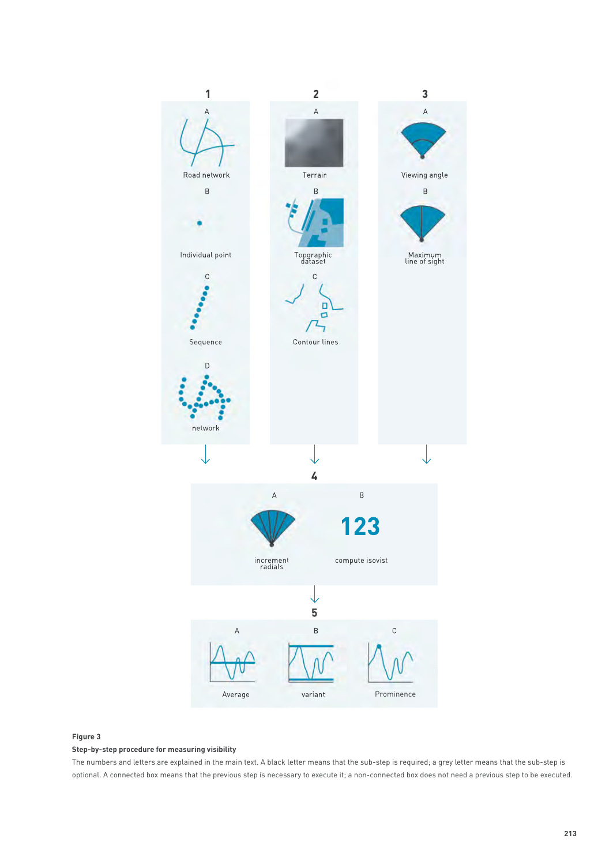

#### **Figure 3**

#### **Step-by-step procedure for measuring visibility**

The numbers and letters are explained in the main text. A black letter means that the sub-step is required; a grey letter means that the sub-step is optional. A connected box means that the previous step is necessary to execute it; a non-connected box does not need a previous step to be executed.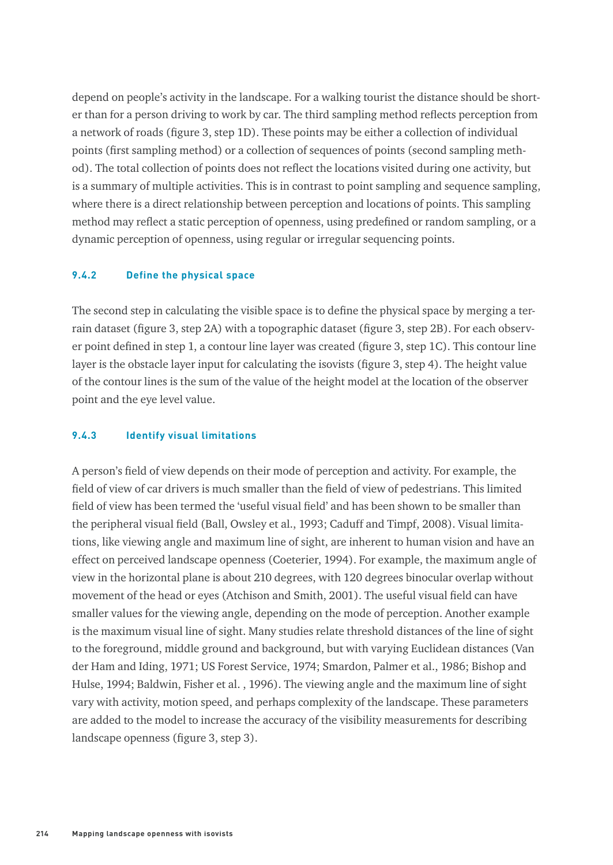depend on people's activity in the landscape. For a walking tourist the distance should be shorter than for a person driving to work by car. The third sampling method reflects perception from a network of roads (figure 3, step 1D). These points may be either a collection of individual points (first sampling method) or a collection of sequences of points (second sampling method). The total collection of points does not reflect the locations visited during one activity, but is a summary of multiple activities. This is in contrast to point sampling and sequence sampling, where there is a direct relationship between perception and locations of points. This sampling method may reflect a static perception of openness, using predefined or random sampling, or a dynamic perception of openness, using regular or irregular sequencing points.

## **9.4.2 Define the physical space**

The second step in calculating the visible space is to define the physical space by merging a terrain dataset (figure 3, step 2A) with a topographic dataset (figure 3, step 2B). For each observer point defined in step 1, a contour line layer was created (figure 3, step 1C). This contour line layer is the obstacle layer input for calculating the isovists (figure 3, step 4). The height value of the contour lines is the sum of the value of the height model at the location of the observer point and the eye level value.

## **9.4.3 Identify visual limitations**

A person's field of view depends on their mode of perception and activity. For example, the field of view of car drivers is much smaller than the field of view of pedestrians. This limited field of view has been termed the 'useful visual field' and has been shown to be smaller than the peripheral visual field (Ball, Owsley et al., 1993; Caduff and Timpf, 2008). Visual limitations, like viewing angle and maximum line of sight, are inherent to human vision and have an effect on perceived landscape openness (Coeterier, 1994). For example, the maximum angle of view in the horizontal plane is about 210 degrees, with 120 degrees binocular overlap without movement of the head or eyes (Atchison and Smith, 2001). The useful visual field can have smaller values for the viewing angle, depending on the mode of perception. Another example is the maximum visual line of sight. Many studies relate threshold distances of the line of sight to the foreground, middle ground and background, but with varying Euclidean distances (Van der Ham and Iding, 1971; US Forest Service, 1974; Smardon, Palmer et al., 1986; Bishop and Hulse, 1994; Baldwin, Fisher et al. , 1996). The viewing angle and the maximum line of sight vary with activity, motion speed, and perhaps complexity of the landscape. These parameters are added to the model to increase the accuracy of the visibility measurements for describing landscape openness (figure 3, step 3).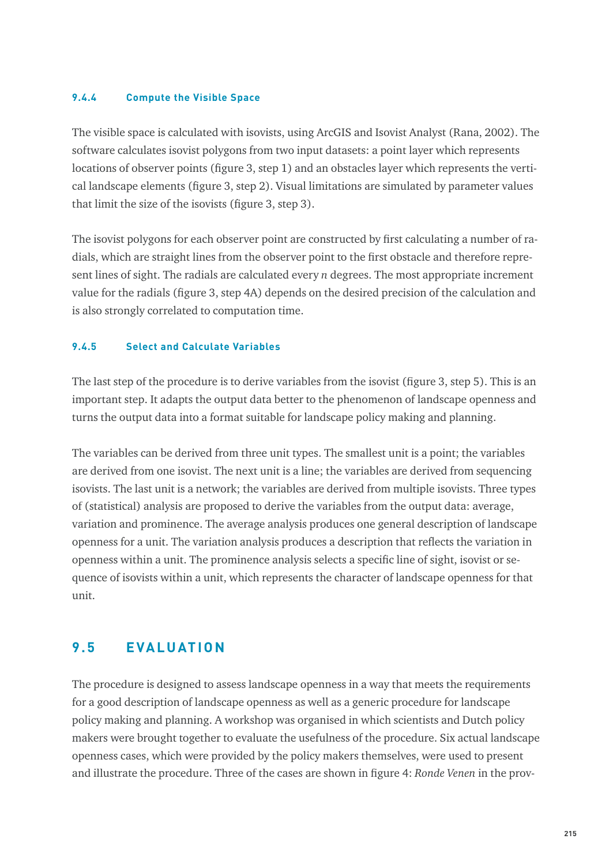## **9.4.4 Compute the Visible Space**

The visible space is calculated with isovists, using ArcGIS and Isovist Analyst (Rana, 2002). The software calculates isovist polygons from two input datasets: a point layer which represents locations of observer points (figure 3, step 1) and an obstacles layer which represents the vertical landscape elements (figure 3, step 2). Visual limitations are simulated by parameter values that limit the size of the isovists (figure 3, step 3).

The isovist polygons for each observer point are constructed by first calculating a number of radials, which are straight lines from the observer point to the first obstacle and therefore represent lines of sight. The radials are calculated every *n* degrees. The most appropriate increment value for the radials (figure 3, step 4A) depends on the desired precision of the calculation and is also strongly correlated to computation time.

## **9.4.5 Select and Calculate Variables**

The last step of the procedure is to derive variables from the isovist (figure 3, step 5). This is an important step. It adapts the output data better to the phenomenon of landscape openness and turns the output data into a format suitable for landscape policy making and planning.

The variables can be derived from three unit types. The smallest unit is a point; the variables are derived from one isovist. The next unit is a line; the variables are derived from sequencing isovists. The last unit is a network; the variables are derived from multiple isovists. Three types of (statistical) analysis are proposed to derive the variables from the output data: average, variation and prominence. The average analysis produces one general description of landscape openness for a unit. The variation analysis produces a description that reflects the variation in openness within a unit. The prominence analysis selects a specific line of sight, isovist or sequence of isovists within a unit, which represents the character of landscape openness for that unit.

# **9.5 EVALUATION**

The procedure is designed to assess landscape openness in a way that meets the requirements for a good description of landscape openness as well as a generic procedure for landscape policy making and planning. A workshop was organised in which scientists and Dutch policy makers were brought together to evaluate the usefulness of the procedure. Six actual landscape openness cases, which were provided by the policy makers themselves, were used to present and illustrate the procedure. Three of the cases are shown in figure 4: *Ronde Venen* in the prov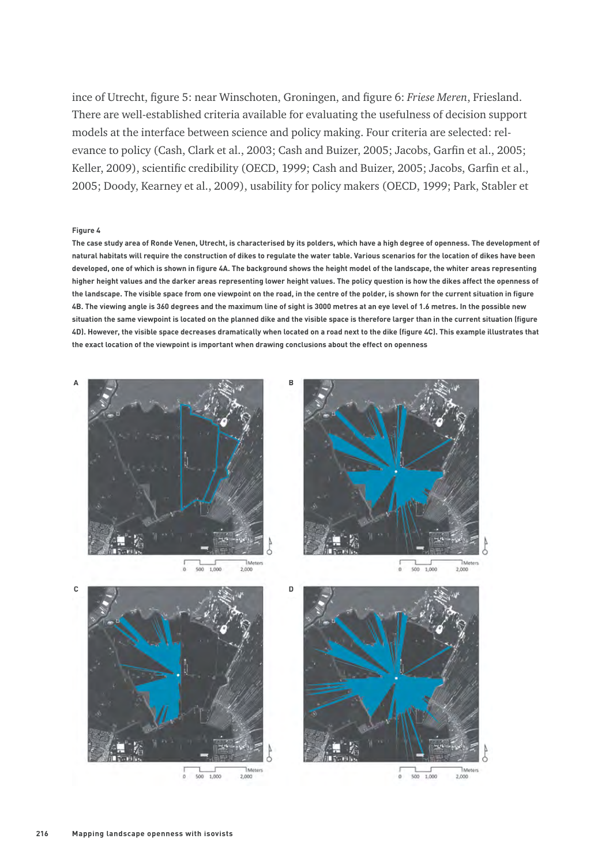ince of Utrecht, figure 5: near Winschoten, Groningen, and figure 6: *Friese Meren*, Friesland. There are well-established criteria available for evaluating the usefulness of decision support models at the interface between science and policy making. Four criteria are selected: relevance to policy (Cash, Clark et al., 2003; Cash and Buizer, 2005; Jacobs, Garfin et al., 2005; Keller, 2009), scientific credibility (OECD, 1999; Cash and Buizer, 2005; Jacobs, Garfin et al., 2005; Doody, Kearney et al., 2009), usability for policy makers (OECD, 1999; Park, Stabler et

#### **Figure 4**

**The case study area of Ronde Venen, Utrecht, is characterised by its polders, which have a high degree of openness. The development of natural habitats will require the construction of dikes to regulate the water table. Various scenarios for the location of dikes have been**  developed, one of which is shown in figure 4A. The background shows the height model of the landscape, the whiter areas representing **higher height values and the darker areas representing lower height values. The policy question is how the dikes affect the openness of**  the landscape. The visible space from one viewpoint on the road, in the centre of the polder, is shown for the current situation in figure **4B. The viewing angle is 360 degrees and the maximum line of sight is 3000 metres at an eye level of 1.6 metres. In the possible new**  situation the same viewpoint is located on the planned dike and the visible space is therefore larger than in the current situation (figure **4D). However, the visible space decreases dramatically when located on a road next to the dike (fi gure 4C). This example illustrates that the exact location of the viewpoint is important when drawing conclusions about the effect on openness**

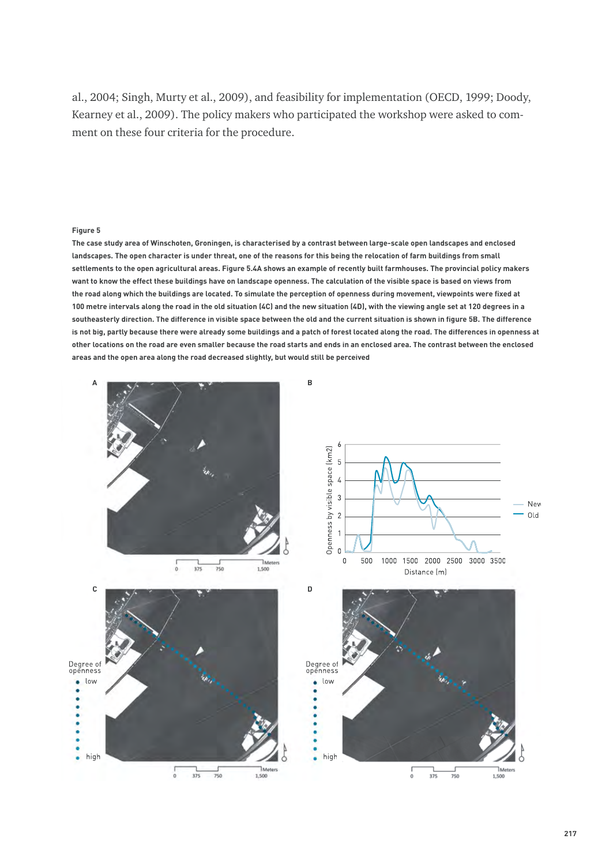al., 2004; Singh, Murty et al., 2009), and feasibility for implementation (OECD, 1999; Doody, Kearney et al., 2009). The policy makers who participated the workshop were asked to comment on these four criteria for the procedure.

#### **Figure 5**

**The case study area of Winschoten, Groningen, is characterised by a contrast between large-scale open landscapes and enclosed landscapes. The open character is under threat, one of the reasons for this being the relocation of farm buildings from small settlements to the open agricultural areas. Figure 5.4A shows an example of recently built farmhouses. The provincial policy makers want to know the effect these buildings have on landscape openness. The calculation of the visible space is based on views from**  the road along which the buildings are located. To simulate the perception of openness during movement, viewpoints were fixed at **100 metre intervals along the road in the old situation (4C) and the new situation (4D), with the viewing angle set at 120 degrees in a**  southeasterly direction. The difference in visible space between the old and the current situation is shown in figure 5B. The difference **is not big, partly because there were already some buildings and a patch of forest located along the road. The differences in openness at other locations on the road are even smaller because the road starts and ends in an enclosed area. The contrast between the enclosed areas and the open area along the road decreased slightly, but would still be perceived**

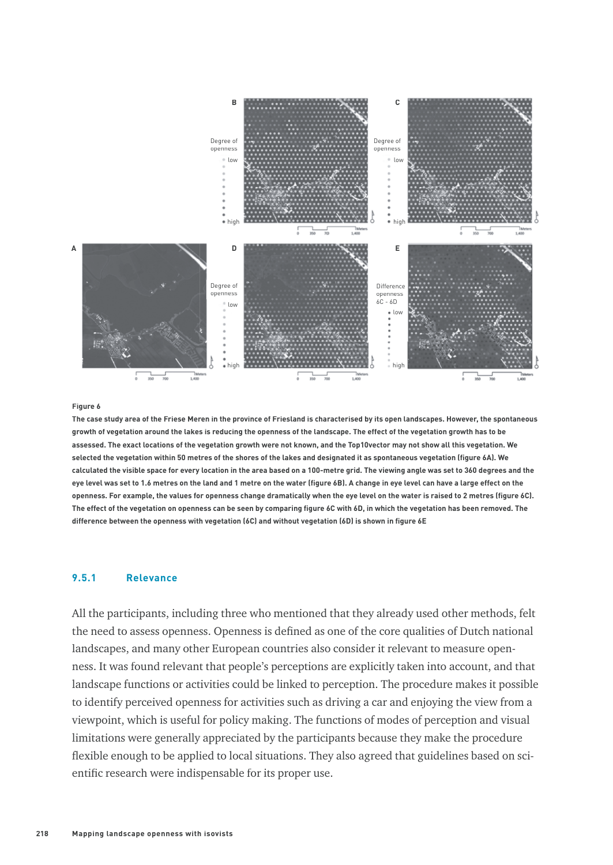

#### **Figure 6**

**The case study area of the Friese Meren in the province of Friesland is characterised by its open landscapes. However, the spontaneous growth of vegetation around the lakes is reducing the openness of the landscape. The effect of the vegetation growth has to be assessed. The exact locations of the vegetation growth were not known, and the Top10vector may not show all this vegetation. We**  selected the vegetation within 50 metres of the shores of the lakes and designated it as spontaneous vegetation (figure 6A). We **calculated the visible space for every location in the area based on a 100-metre grid. The viewing angle was set to 360 degrees and the**  eye level was set to 1.6 metres on the land and 1 metre on the water (figure 6B). A change in eye level can have a large effect on the openness. For example, the values for openness change dramatically when the eye level on the water is raised to 2 metres (figure 6C). The effect of the vegetation on openness can be seen by comparing figure 6C with 6D, in which the vegetation has been removed. The difference between the openness with vegetation (6C) and without vegetation (6D) is shown in figure 6E

#### **9.5.1 Relevance**

All the participants, including three who mentioned that they already used other methods, felt the need to assess openness. Openness is defined as one of the core qualities of Dutch national landscapes, and many other European countries also consider it relevant to measure openness. It was found relevant that people's perceptions are explicitly taken into account, and that landscape functions or activities could be linked to perception. The procedure makes it possible to identify perceived openness for activities such as driving a car and enjoying the view from a viewpoint, which is useful for policy making. The functions of modes of perception and visual limitations were generally appreciated by the participants because they make the procedure flexible enough to be applied to local situations. They also agreed that guidelines based on scientific research were indispensable for its proper use.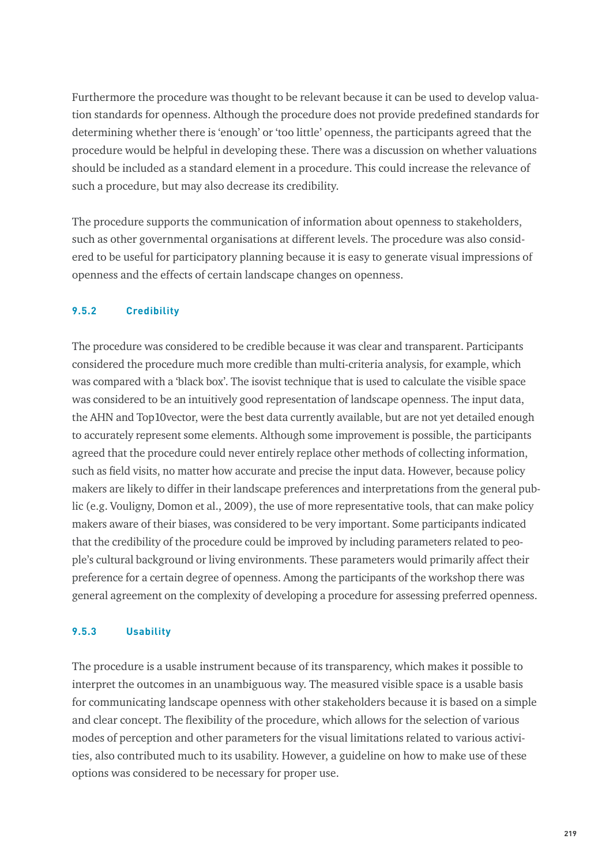Furthermore the procedure was thought to be relevant because it can be used to develop valuation standards for openness. Although the procedure does not provide predefined standards for determining whether there is 'enough' or 'too little' openness, the participants agreed that the procedure would be helpful in developing these. There was a discussion on whether valuations should be included as a standard element in a procedure. This could increase the relevance of such a procedure, but may also decrease its credibility.

The procedure supports the communication of information about openness to stakeholders, such as other governmental organisations at different levels. The procedure was also considered to be useful for participatory planning because it is easy to generate visual impressions of openness and the effects of certain landscape changes on openness.

## **9.5.2 Credibility**

The procedure was considered to be credible because it was clear and transparent. Participants considered the procedure much more credible than multi-criteria analysis, for example, which was compared with a 'black box'. The isovist technique that is used to calculate the visible space was considered to be an intuitively good representation of landscape openness. The input data, the AHN and Top10vector, were the best data currently available, but are not yet detailed enough to accurately represent some elements. Although some improvement is possible, the participants agreed that the procedure could never entirely replace other methods of collecting information, such as field visits, no matter how accurate and precise the input data. However, because policy makers are likely to differ in their landscape preferences and interpretations from the general public (e.g. Vouligny, Domon et al., 2009), the use of more representative tools, that can make policy makers aware of their biases, was considered to be very important. Some participants indicated that the credibility of the procedure could be improved by including parameters related to people's cultural background or living environments. These parameters would primarily affect their preference for a certain degree of openness. Among the participants of the workshop there was general agreement on the complexity of developing a procedure for assessing preferred openness.

#### **9.5.3 Usability**

The procedure is a usable instrument because of its transparency, which makes it possible to interpret the outcomes in an unambiguous way. The measured visible space is a usable basis for communicating landscape openness with other stakeholders because it is based on a simple and clear concept. The flexibility of the procedure, which allows for the selection of various modes of perception and other parameters for the visual limitations related to various activities, also contributed much to its usability. However, a guideline on how to make use of these options was considered to be necessary for proper use.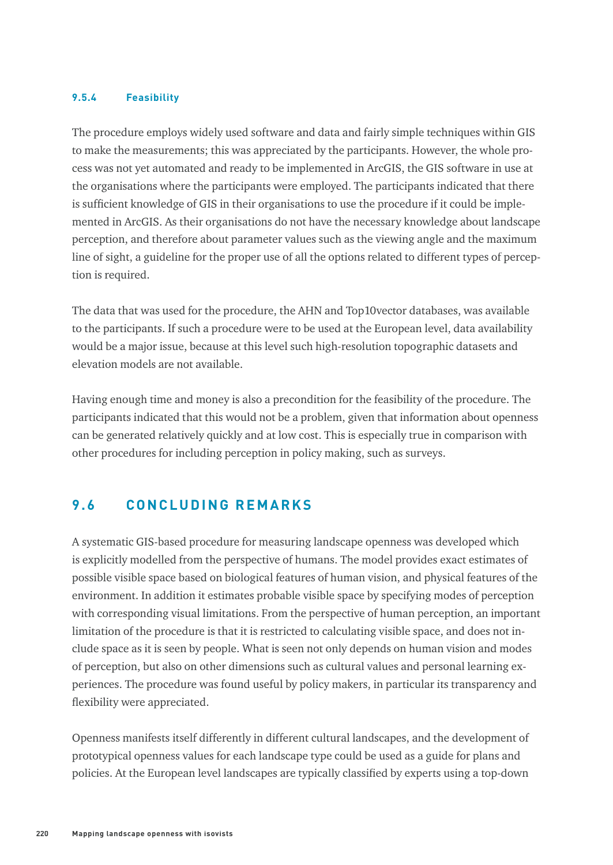## **9.5.4 Feasibility**

The procedure employs widely used software and data and fairly simple techniques within GIS to make the measurements; this was appreciated by the participants. However, the whole process was not yet automated and ready to be implemented in ArcGIS, the GIS software in use at the organisations where the participants were employed. The participants indicated that there is sufficient knowledge of GIS in their organisations to use the procedure if it could be implemented in ArcGIS. As their organisations do not have the necessary knowledge about landscape perception, and therefore about parameter values such as the viewing angle and the maximum line of sight, a guideline for the proper use of all the options related to different types of perception is required.

The data that was used for the procedure, the AHN and Top10vector databases, was available to the participants. If such a procedure were to be used at the European level, data availability would be a major issue, because at this level such high-resolution topographic datasets and elevation models are not available.

Having enough time and money is also a precondition for the feasibility of the procedure. The participants indicated that this would not be a problem, given that information about openness can be generated relatively quickly and at low cost. This is especially true in comparison with other procedures for including perception in policy making, such as surveys.

# **9.6 CONCLUDING REMARKS**

A systematic GIS-based procedure for measuring landscape openness was developed which is explicitly modelled from the perspective of humans. The model provides exact estimates of possible visible space based on biological features of human vision, and physical features of the environment. In addition it estimates probable visible space by specifying modes of perception with corresponding visual limitations. From the perspective of human perception, an important limitation of the procedure is that it is restricted to calculating visible space, and does not include space as it is seen by people. What is seen not only depends on human vision and modes of perception, but also on other dimensions such as cultural values and personal learning experiences. The procedure was found useful by policy makers, in particular its transparency and flexibility were appreciated.

Openness manifests itself differently in different cultural landscapes, and the development of prototypical openness values for each landscape type could be used as a guide for plans and policies. At the European level landscapes are typically classified by experts using a top-down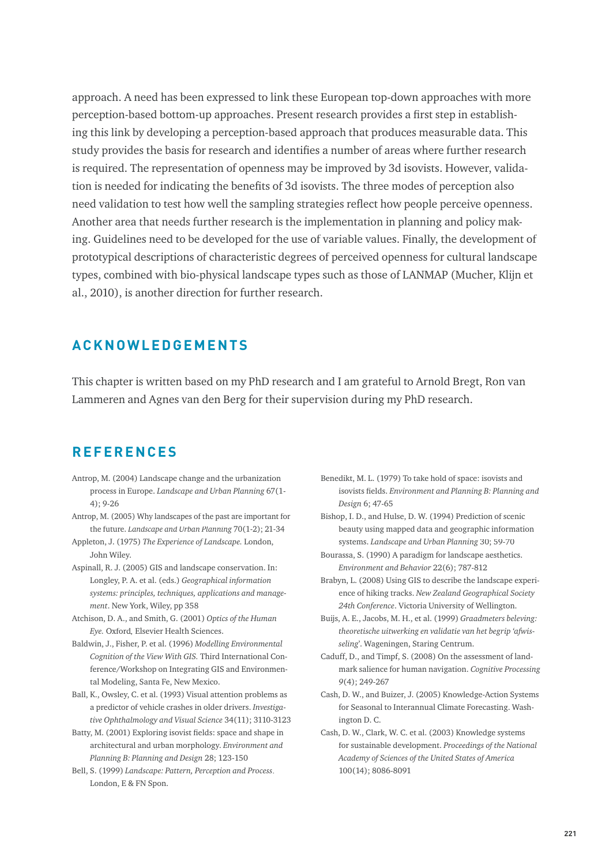approach. A need has been expressed to link these European top-down approaches with more perception-based bottom-up approaches. Present research provides a first step in establishing this link by developing a perception-based approach that produces measurable data. This study provides the basis for research and identifies a number of areas where further research is required. The representation of openness may be improved by 3d isovists. However, validation is needed for indicating the benefits of 3d isovists. The three modes of perception also need validation to test how well the sampling strategies reflect how people perceive openness. Another area that needs further research is the implementation in planning and policy making. Guidelines need to be developed for the use of variable values. Finally, the development of prototypical descriptions of characteristic degrees of perceived openness for cultural landscape types, combined with bio-physical landscape types such as those of LANMAP (Mucher, Klijn et al., 2010), is another direction for further research.

# **ACKNOWLEDGEMENTS**

This chapter is written based on my PhD research and I am grateful to Arnold Bregt, Ron van Lammeren and Agnes van den Berg for their supervision during my PhD research.

# **REFERENCES**

- Antrop, M. (2004) Landscape change and the urbanization process in Europe. *Landscape and Urban Planning* 67(1- 4); 9-26
- Antrop, M. (2005) Why landscapes of the past are important for the future. *Landscape and Urban Planning* 70(1-2); 21-34
- Appleton, J. (1975) *The Experience of Landscape.* London, John Wiley.
- Aspinall, R. J. (2005) GIS and landscape conservation. In: Longley, P. A. et al. (eds.) *Geographical information systems: principles, techniques, applications and management*. New York, Wiley, pp 358
- Atchison, D. A., and Smith, G. (2001) *Optics of the Human Eye.* Oxford*,* Elsevier Health Sciences.
- Baldwin, J., Fisher, P. et al. (1996) *Modelling Environmental Cognition of the View With GIS.* Third International Conference/Workshop on Integrating GIS and Environmental Modeling, Santa Fe, New Mexico.
- Ball, K., Owsley, C. et al. (1993) Visual attention problems as a predictor of vehicle crashes in older drivers. *Investigative Ophthalmology and Visual Science* 34(11); 3110-3123
- Batty, M. (2001) Exploring isovist fields: space and shape in architectural and urban morphology. *Environment and Planning B: Planning and Design* 28; 123-150
- Bell, S. (1999) *Landscape: Pattern, Perception and Process*. London, E & FN Spon.

Benedikt, M. L. (1979) To take hold of space: isovists and isovists fields. *Environment and Planning B: Planning and Design* 6; 47-65

Bishop, I. D., and Hulse, D. W. (1994) Prediction of scenic beauty using mapped data and geographic information systems. *Landscape and Urban Planning* 30; 59-70

- Bourassa, S. (1990) A paradigm for landscape aesthetics. *Environment and Behavior* 22(6); 787-812
- Brabyn, L. (2008) Using GIS to describe the landscape experience of hiking tracks. *New Zealand Geographical Society 24th Conference*. Victoria University of Wellington.
- Buijs, A. E., Jacobs, M. H., et al. (1999) *Graadmeters beleving: theoretische uitwerking en validatie van het begrip 'afwisseling*'. Wageningen, Staring Centrum.
- Caduff, D., and Timpf, S. (2008) On the assessment of landmark salience for human navigation. *Cognitive Processing 9*(4); 249-267
- Cash, D. W., and Buizer, J. (2005) Knowledge-Action Systems for Seasonal to Interannual Climate Forecasting. Washington D. C.
- Cash, D. W., Clark, W. C. et al. (2003) Knowledge systems for sustainable development. *Proceedings of the National Academy of Sciences of the United States of America* 100(14); 8086-8091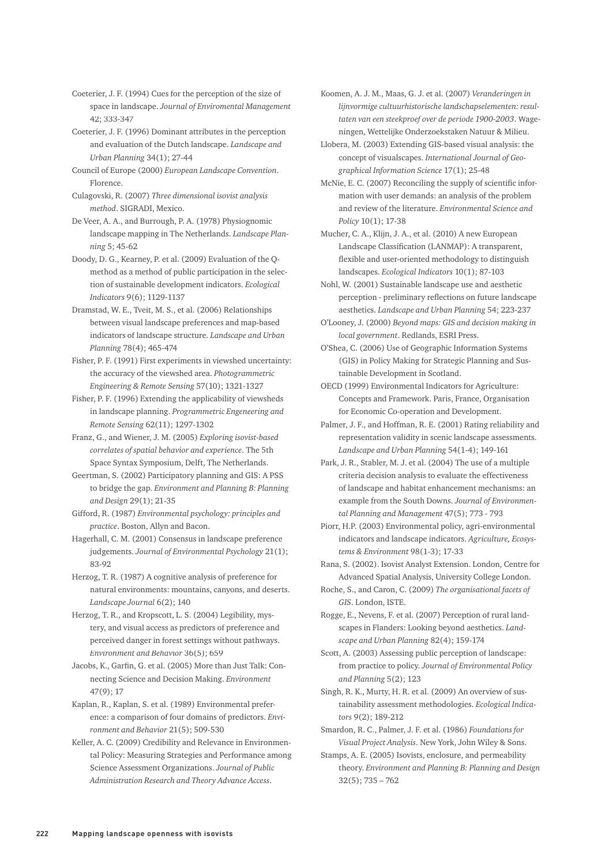Coeterier, J. F. (1994) Cues for the perception of the size of space in landscape. *Journal of Enviromental Management* 42; 333-347

Coeterier, J. F. (1996) Dominant attributes in the perception and evaluation of the Dutch landscape. *Landscape and Urban Planning* 34(1); 27-44

Council of Europe (2000) *European Landscape Convention*. Florence.

Culagovski, R. (2007) *Three dimensional isovist analysis method*. SIGRADI, Mexico.

De Veer, A. A., and Burrough, P. A. (1978) Physiognomic landscape mapping in The Netherlands. *Landscape Planning* 5; 45-62

Doody, D. G., Kearney, P. et al. (2009) Evaluation of the Qmethod as a method of public participation in the selection of sustainable development indicators. *Ecological Indicators* 9(6); 1129-1137

Dramstad, W. E., Tveit, M. S., et al. (2006) Relationships between visual landscape preferences and map-based indicators of landscape structure. *Landscape and Urban Planning* 78(4); 465-474

Fisher, P. F. (1991) First experiments in viewshed uncertainty: the accuracy of the viewshed area. *Photogrammetric Engineering & Remote Sensing* 57(10); 1321-1327

Fisher, P. F. (1996) Extending the applicability of viewsheds in landscape planning. *Programmetric Engeneering and Remote Sensing* 62(11); 1297-1302

Franz, G., and Wiener, J. M. (2005) *Exploring isovist-based correlates of spatial behavior and experience*. The 5th Space Syntax Symposium, Delft, The Netherlands.

Geertman, S. (2002) Participatory planning and GIS: A PSS to bridge the gap. *Environment and Planning B: Planning and Design* 29(1); 21-35

Gifford, R. (1987) *Environmental psychology: principles and practice*. Boston, Allyn and Bacon.

Hagerhall, C. M. (2001) Consensus in landscape preference judgements. *Journal of Environmental Psychology* 21(1);  $83.02$ 

Herzog, T. R. (1987) A cognitive analysis of preference for natural environments: mountains, canyons, and deserts. *Landscape Journal* 6(2); 140

Herzog, T. R., and Kropscott, L. S. (2004) Legibility, mystery, and visual access as predictors of preference and perceived danger in forest settings without pathways. *Environment and Behavior* 36(5); 659

Jacobs, K., Garfin, G. et al. (2005) More than Just Talk: Connecting Science and Decision Making. *Environment* 47(9); 17

Kaplan, R., Kaplan, S. et al. (1989) Environmental preference: a comparison of four domains of predictors. *Environment and Behavior* 21(5); 509-530

Keller, A. C. (2009) Credibility and Relevance in Environmental Policy: Measuring Strategies and Performance among Science Assessment Organizations. *Journal of Public Administration Research and Theory Advance Access*.

Koomen, A. J. M., Maas, G. J. et al. (2007) *Veranderingen in lijnvormige cultuurhistorische landschapselementen: resultaten van een steekproef over de periode 1900-2003*. Wageningen, Wettelijke Onderzoekstaken Natuur & Milieu.

Llobera, M. (2003) Extending GIS-based visual analysis: the concept of visualscapes. *International Journal of Geographical Information Science* 17(1); 25-48

McNie, E. C. (2007) Reconciling the supply of scientific information with user demands: an analysis of the problem and review of the literature. *Environmental Science and Policy* 10(1); 17-38

Mucher, C. A., Klijn, J. A., et al. (2010) A new European Landscape Classification (LANMAP): A transparent, flexible and user-oriented methodology to distinguish landscapes. *Ecological Indicators* 10(1); 87-103

Nohl, W. (2001) Sustainable landscape use and aesthetic perception - preliminary reflections on future landscape aesthetics. *Landscape and Urban Planning* 54; 223-237

O'Looney, J. (2000) *Beyond maps: GIS and decision making in local government*. Redlands, ESRI Press.

O'Shea, C. (2006) Use of Geographic Information Systems (GIS) in Policy Making for Strategic Planning and Sustainable Development in Scotland.

OECD (1999) Environmental Indicators for Agriculture: Concepts and Framework. Paris, France, Organisation for Economic Co-operation and Development.

Palmer, J. F., and Hoffman, R. E. (2001) Rating reliability and representation validity in scenic landscape assessments. *Landscape and Urban Planning* 54(1-4); 149-161

Park, J. R., Stabler, M. J. et al. (2004) The use of a multiple criteria decision analysis to evaluate the effectiveness of landscape and habitat enhancement mechanisms: an example from the South Downs. *Journal of Environmental Planning and Management* 47(5); 773 - 793

Piorr, H.P. (2003) Environmental policy, agri-environmental indicators and landscape indicators. *Agriculture, Ecosystems & Environment* 98(1-3); 17-33

Rana, S. (2002). Isovist Analyst Extension. London, Centre for Advanced Spatial Analysis, University College London.

Roche, S., and Caron, C. (2009) *The organisational facets of GIS*. London, ISTE.

Rogge, E., Nevens, F. et al. (2007) Perception of rural landscapes in Flanders: Looking beyond aesthetics. *Landscape and Urban Planning* 82(4); 159-174

Scott, A. (2003) Assessing public perception of landscape: from practice to policy. *Journal of Environmental Policy and Planning* 5(2); 123

Singh, R. K., Murty, H. R. et al. (2009) An overview of sustainability assessment methodologies. *Ecological Indicators* 9(2); 189-212

Smardon, R. C., Palmer, J. F. et al. (1986) *Foundations for Visual Project Analysis*. New York, John Wiley & Sons.

Stamps, A. E. (2005) Isovists, enclosure, and permeability theory. *Environment and Planning B: Planning and Design*  32(5); 735 – 762